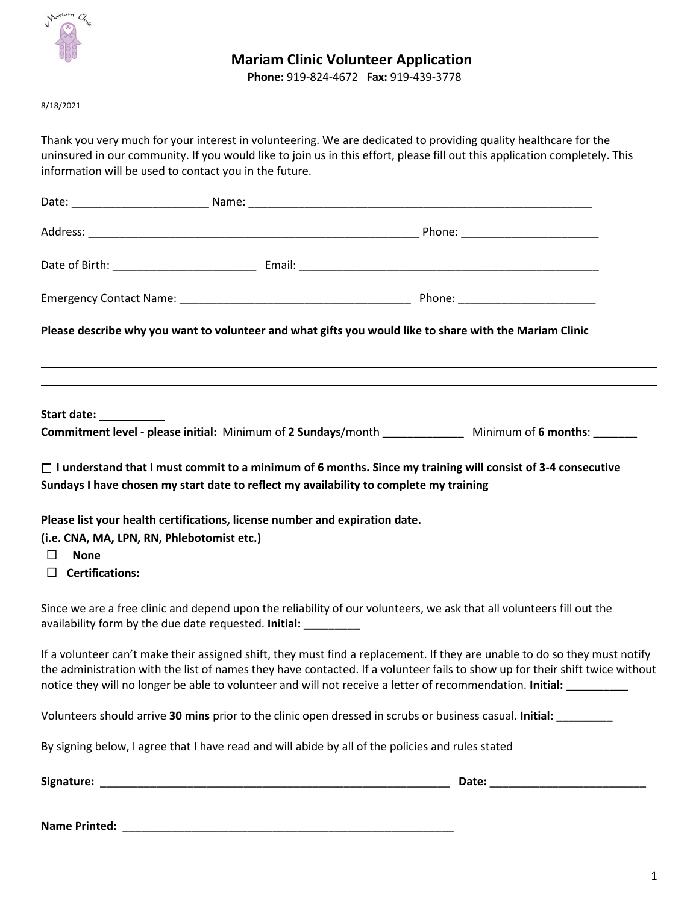

## **Mariam Clinic Volunteer Application**

**Phone:** 919-824-4672 **Fax:** 919-439-3778

8/18/2021

Thank you very much for your interest in volunteering. We are dedicated to providing quality healthcare for the uninsured in our community. If you would like to join us in this effort, please fill out this application completely. This information will be used to contact you in the future.

|                                            |                                                                                                   | Please describe why you want to volunteer and what gifts you would like to share with the Mariam Clinic                                                                                                                                                                                                                                                                            |
|--------------------------------------------|---------------------------------------------------------------------------------------------------|------------------------------------------------------------------------------------------------------------------------------------------------------------------------------------------------------------------------------------------------------------------------------------------------------------------------------------------------------------------------------------|
| Start date: ___________                    |                                                                                                   | Commitment level - please initial: Minimum of 2 Sundays/month ______________ Minimum of 6 months: _______                                                                                                                                                                                                                                                                          |
|                                            |                                                                                                   |                                                                                                                                                                                                                                                                                                                                                                                    |
|                                            | Sundays I have chosen my start date to reflect my availability to complete my training            | $\Box$ I understand that I must commit to a minimum of 6 months. Since my training will consist of 3-4 consecutive                                                                                                                                                                                                                                                                 |
|                                            |                                                                                                   |                                                                                                                                                                                                                                                                                                                                                                                    |
|                                            | Please list your health certifications, license number and expiration date.                       |                                                                                                                                                                                                                                                                                                                                                                                    |
| (i.e. CNA, MA, LPN, RN, Phlebotomist etc.) |                                                                                                   |                                                                                                                                                                                                                                                                                                                                                                                    |
| $\Box$<br><b>None</b>                      |                                                                                                   |                                                                                                                                                                                                                                                                                                                                                                                    |
|                                            | $\Box$ Certifications:                                                                            |                                                                                                                                                                                                                                                                                                                                                                                    |
|                                            | availability form by the due date requested. Initial: __________                                  | Since we are a free clinic and depend upon the reliability of our volunteers, we ask that all volunteers fill out the                                                                                                                                                                                                                                                              |
|                                            |                                                                                                   | If a volunteer can't make their assigned shift, they must find a replacement. If they are unable to do so they must notify<br>the administration with the list of names they have contacted. If a volunteer fails to show up for their shift twice without<br>notice they will no longer be able to volunteer and will not receive a letter of recommendation. Initial: __________ |
|                                            |                                                                                                   | Volunteers should arrive 30 mins prior to the clinic open dressed in scrubs or business casual. Initial:                                                                                                                                                                                                                                                                           |
|                                            | By signing below, I agree that I have read and will abide by all of the policies and rules stated |                                                                                                                                                                                                                                                                                                                                                                                    |
|                                            |                                                                                                   |                                                                                                                                                                                                                                                                                                                                                                                    |

**Name Printed:** \_\_\_\_\_\_\_\_\_\_\_\_\_\_\_\_\_\_\_\_\_\_\_\_\_\_\_\_\_\_\_\_\_\_\_\_\_\_\_\_\_\_\_\_\_\_\_\_\_\_\_\_\_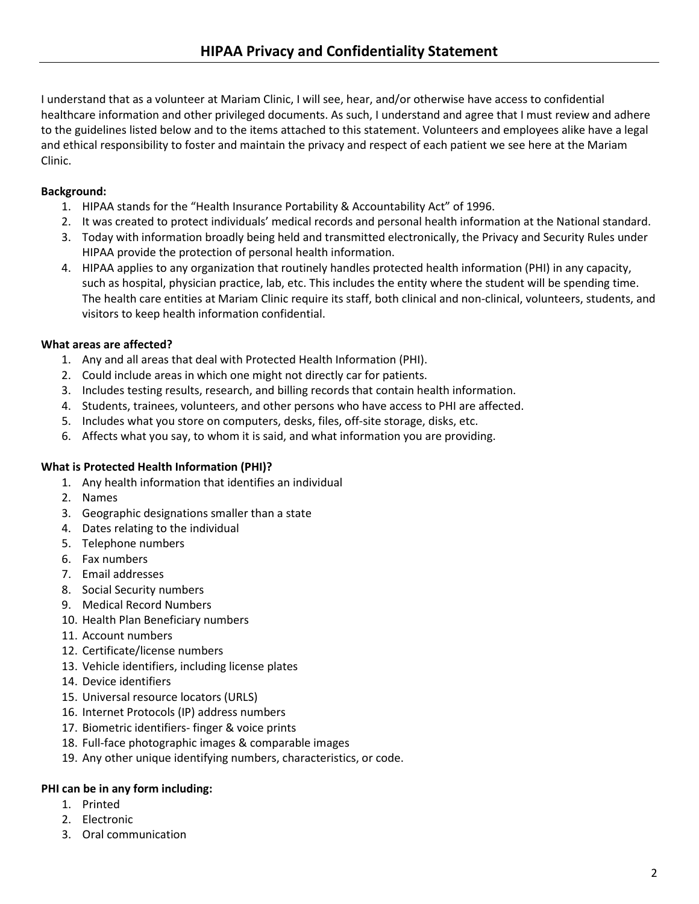I understand that as a volunteer at Mariam Clinic, I will see, hear, and/or otherwise have access to confidential healthcare information and other privileged documents. As such, I understand and agree that I must review and adhere to the guidelines listed below and to the items attached to this statement. Volunteers and employees alike have a legal and ethical responsibility to foster and maintain the privacy and respect of each patient we see here at the Mariam Clinic.

### **Background:**

- 1. HIPAA stands for the "Health Insurance Portability & Accountability Act" of 1996.
- 2. It was created to protect individuals' medical records and personal health information at the National standard.
- 3. Today with information broadly being held and transmitted electronically, the Privacy and Security Rules under HIPAA provide the protection of personal health information.
- 4. HIPAA applies to any organization that routinely handles protected health information (PHI) in any capacity, such as hospital, physician practice, lab, etc. This includes the entity where the student will be spending time. The health care entities at Mariam Clinic require its staff, both clinical and non-clinical, volunteers, students, and visitors to keep health information confidential.

### **What areas are affected?**

- 1. Any and all areas that deal with Protected Health Information (PHI).
- 2. Could include areas in which one might not directly car for patients.
- 3. Includes testing results, research, and billing records that contain health information.
- 4. Students, trainees, volunteers, and other persons who have access to PHI are affected.
- 5. Includes what you store on computers, desks, files, off-site storage, disks, etc.
- 6. Affects what you say, to whom it is said, and what information you are providing.

### **What is Protected Health Information (PHI)?**

- 1. Any health information that identifies an individual
- 2. Names
- 3. Geographic designations smaller than a state
- 4. Dates relating to the individual
- 5. Telephone numbers
- 6. Fax numbers
- 7. Email addresses
- 8. Social Security numbers
- 9. Medical Record Numbers
- 10. Health Plan Beneficiary numbers
- 11. Account numbers
- 12. Certificate/license numbers
- 13. Vehicle identifiers, including license plates
- 14. Device identifiers
- 15. Universal resource locators (URLS)
- 16. Internet Protocols (IP) address numbers
- 17. Biometric identifiers- finger & voice prints
- 18. Full-face photographic images & comparable images
- 19. Any other unique identifying numbers, characteristics, or code.

### **PHI can be in any form including:**

- 1. Printed
- 2. Electronic
- 3. Oral communication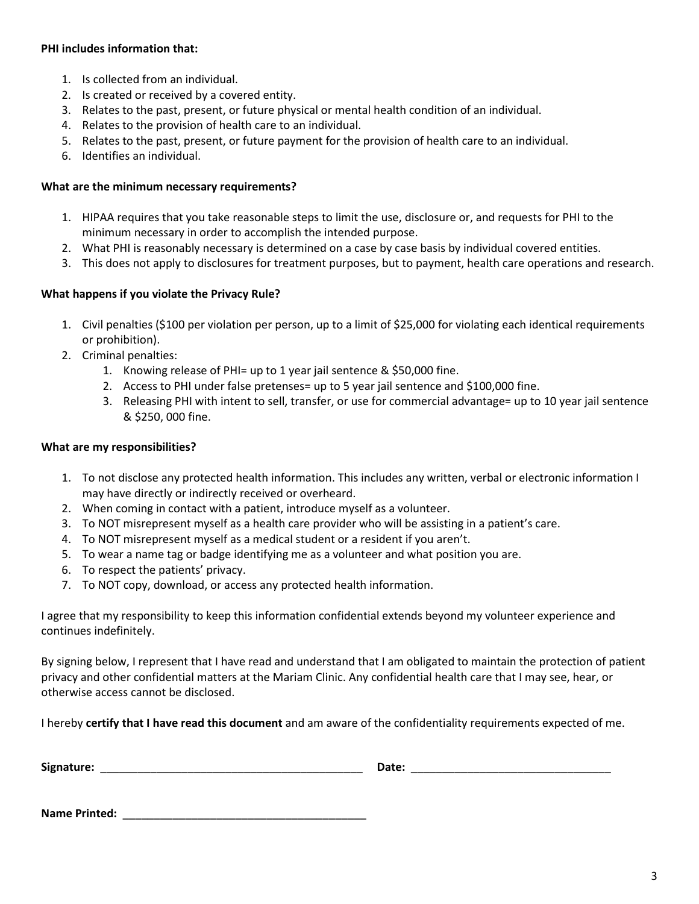#### **PHI includes information that:**

- 1. Is collected from an individual.
- 2. Is created or received by a covered entity.
- 3. Relates to the past, present, or future physical or mental health condition of an individual.
- 4. Relates to the provision of health care to an individual.
- 5. Relates to the past, present, or future payment for the provision of health care to an individual.
- 6. Identifies an individual.

#### **What are the minimum necessary requirements?**

- 1. HIPAA requires that you take reasonable steps to limit the use, disclosure or, and requests for PHI to the minimum necessary in order to accomplish the intended purpose.
- 2. What PHI is reasonably necessary is determined on a case by case basis by individual covered entities.
- 3. This does not apply to disclosures for treatment purposes, but to payment, health care operations and research.

#### **What happens if you violate the Privacy Rule?**

- 1. Civil penalties (\$100 per violation per person, up to a limit of \$25,000 for violating each identical requirements or prohibition).
- 2. Criminal penalties:
	- 1. Knowing release of PHI= up to 1 year jail sentence & \$50,000 fine.
	- 2. Access to PHI under false pretenses= up to 5 year jail sentence and \$100,000 fine.
	- 3. Releasing PHI with intent to sell, transfer, or use for commercial advantage= up to 10 year jail sentence & \$250, 000 fine.

#### **What are my responsibilities?**

- 1. To not disclose any protected health information. This includes any written, verbal or electronic information I may have directly or indirectly received or overheard.
- 2. When coming in contact with a patient, introduce myself as a volunteer.
- 3. To NOT misrepresent myself as a health care provider who will be assisting in a patient's care.
- 4. To NOT misrepresent myself as a medical student or a resident if you aren't.
- 5. To wear a name tag or badge identifying me as a volunteer and what position you are.
- 6. To respect the patients' privacy.
- 7. To NOT copy, download, or access any protected health information.

I agree that my responsibility to keep this information confidential extends beyond my volunteer experience and continues indefinitely.

By signing below, I represent that I have read and understand that I am obligated to maintain the protection of patient privacy and other confidential matters at the Mariam Clinic. Any confidential health care that I may see, hear, or otherwise access cannot be disclosed.

I hereby **certify that I have read this document** and am aware of the confidentiality requirements expected of me.

| Sign<br>- - - <b>-</b> -- -<br>na ure<br>.<br>. .<br>____ |  |
|-----------------------------------------------------------|--|
|-----------------------------------------------------------|--|

**Name Printed:** \_\_\_\_\_\_\_\_\_\_\_\_\_\_\_\_\_\_\_\_\_\_\_\_\_\_\_\_\_\_\_\_\_\_\_\_\_\_\_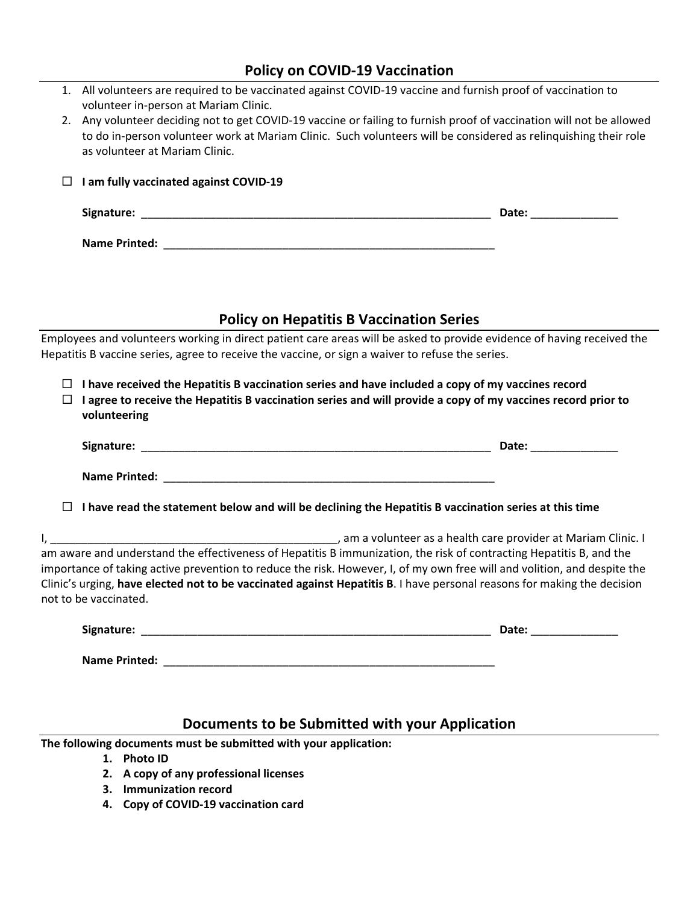|        | <b>Policy on COVID-19 Vaccination</b>                                                                                                                                                                                                                                                                                                                                                                                           |  |
|--------|---------------------------------------------------------------------------------------------------------------------------------------------------------------------------------------------------------------------------------------------------------------------------------------------------------------------------------------------------------------------------------------------------------------------------------|--|
| 2.     | 1. All volunteers are required to be vaccinated against COVID-19 vaccine and furnish proof of vaccination to<br>volunteer in-person at Mariam Clinic.<br>Any volunteer deciding not to get COVID-19 vaccine or failing to furnish proof of vaccination will not be allowed<br>to do in-person volunteer work at Mariam Clinic. Such volunteers will be considered as relinquishing their role<br>as volunteer at Mariam Clinic. |  |
| ப      | I am fully vaccinated against COVID-19                                                                                                                                                                                                                                                                                                                                                                                          |  |
|        |                                                                                                                                                                                                                                                                                                                                                                                                                                 |  |
|        |                                                                                                                                                                                                                                                                                                                                                                                                                                 |  |
|        | <b>Policy on Hepatitis B Vaccination Series</b>                                                                                                                                                                                                                                                                                                                                                                                 |  |
|        | Employees and volunteers working in direct patient care areas will be asked to provide evidence of having received the                                                                                                                                                                                                                                                                                                          |  |
|        | Hepatitis B vaccine series, agree to receive the vaccine, or sign a waiver to refuse the series.                                                                                                                                                                                                                                                                                                                                |  |
| $\Box$ | $\Box$ I have received the Hepatitis B vaccination series and have included a copy of my vaccines record<br>I agree to receive the Hepatitis B vaccination series and will provide a copy of my vaccines record prior to<br>volunteering                                                                                                                                                                                        |  |
|        |                                                                                                                                                                                                                                                                                                                                                                                                                                 |  |
|        |                                                                                                                                                                                                                                                                                                                                                                                                                                 |  |
|        | $\Box$ I have read the statement below and will be declining the Hepatitis B vaccination series at this time                                                                                                                                                                                                                                                                                                                    |  |
|        | am aware and understand the effectiveness of Hepatitis B immunization, the risk of contracting Hepatitis B, and the<br>importance of taking active prevention to reduce the risk. However, I, of my own free will and volition, and despite the<br>Clinic's urging, have elected not to be vaccinated against Hepatitis B. I have personal reasons for making the decision<br>not to be vaccinated.                             |  |
|        |                                                                                                                                                                                                                                                                                                                                                                                                                                 |  |
|        |                                                                                                                                                                                                                                                                                                                                                                                                                                 |  |
|        | Documents to be Submitted with your Application                                                                                                                                                                                                                                                                                                                                                                                 |  |

**The following documents must be submitted with your application:**

- **1. Photo ID**
- **2. A copy of any professional licenses**
- **3. Immunization record**
- **4. Copy of COVID‐19 vaccination card**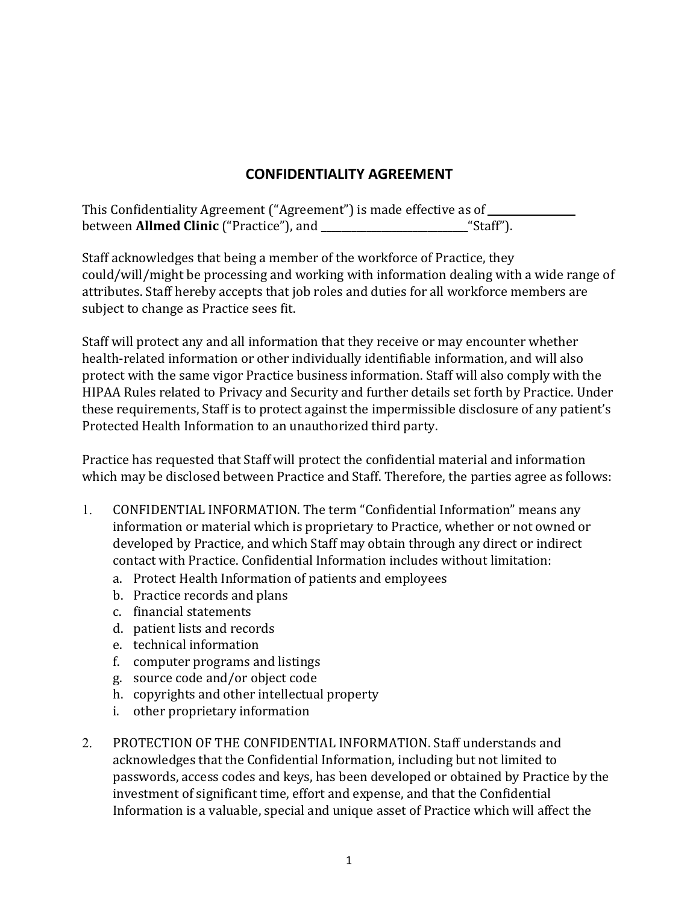# **CONFIDENTIALITY AGREEMENT**

This Confidentiality Agreement ("Agreement") is made effective as of between **Allmed Clinic** ("Practice"), and **\_\_\_\_\_\_\_\_\_\_\_\_\_\_\_\_\_\_\_\_\_\_\_\_\_\_\_\_\_**"Staff").

Staff acknowledges that being a member of the workforce of Practice, they could/will/might be processing and working with information dealing with a wide range of attributes. Staff hereby accepts that job roles and duties for all workforce members are subject to change as Practice sees fit.

Staff will protect any and all information that they receive or may encounter whether health-related information or other individually identifiable information, and will also protect with the same vigor Practice business information. Staff will also comply with the HIPAA Rules related to Privacy and Security and further details set forth by Practice. Under these requirements, Staff is to protect against the impermissible disclosure of any patient's Protected Health Information to an unauthorized third party.

Practice has requested that Staff will protect the confidential material and information which may be disclosed between Practice and Staff. Therefore, the parties agree as follows:

- 1. CONFIDENTIAL INFORMATION. The term "Confidential Information" means any information or material which is proprietary to Practice, whether or not owned or developed by Practice, and which Staff may obtain through any direct or indirect contact with Practice. Confidential Information includes without limitation:
	- a. Protect Health Information of patients and employees
	- b. Practice records and plans
	- c. financial statements
	- d. patient lists and records
	- e. technical information
	- f. computer programs and listings
	- g. source code and/or object code
	- h. copyrights and other intellectual property
	- i. other proprietary information
- 2. PROTECTION OF THE CONFIDENTIAL INFORMATION. Staff understands and acknowledges that the Confidential Information, including but not limited to passwords, access codes and keys, has been developed or obtained by Practice by the investment of significant time, effort and expense, and that the Confidential Information is a valuable, special and unique asset of Practice which will affect the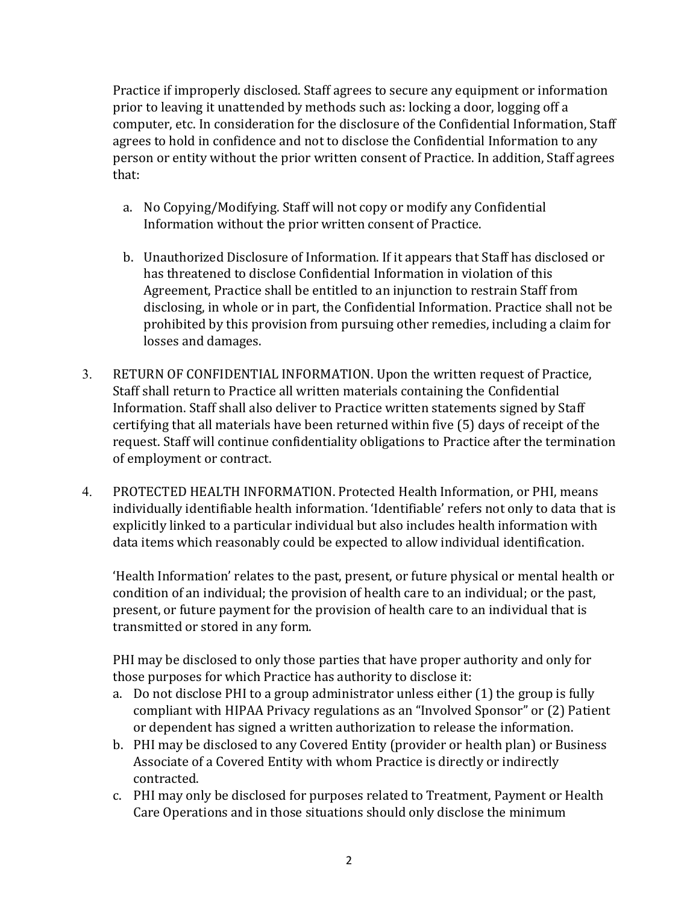Practice if improperly disclosed. Staff agrees to secure any equipment or information prior to leaving it unattended by methods such as: locking a door, logging off a computer, etc. In consideration for the disclosure of the Confidential Information, Staff agrees to hold in confidence and not to disclose the Confidential Information to any person or entity without the prior written consent of Practice. In addition, Staff agrees that:

- a. No Copying/Modifying. Staff will not copy or modify any Confidential Information without the prior written consent of Practice.
- b. Unauthorized Disclosure of Information. If it appears that Staff has disclosed or has threatened to disclose Confidential Information in violation of this Agreement, Practice shall be entitled to an injunction to restrain Staff from disclosing, in whole or in part, the Confidential Information. Practice shall not be prohibited by this provision from pursuing other remedies, including a claim for losses and damages.
- 3. RETURN OF CONFIDENTIAL INFORMATION. Upon the written request of Practice, Staff shall return to Practice all written materials containing the Confidential Information. Staff shall also deliver to Practice written statements signed by Staff certifying that all materials have been returned within five (5) days of receipt of the request. Staff will continue confidentiality obligations to Practice after the termination of employment or contract.
- 4. PROTECTED HEALTH INFORMATION. Protected Health Information, or PHI, means individually identifiable health information. 'Identifiable' refers not only to data that is explicitly linked to a particular individual but also includes health information with data items which reasonably could be expected to allow individual identification.

'Health Information' relates to the past, present, or future physical or mental health or condition of an individual; the provision of health care to an individual; or the past, present, or future payment for the provision of health care to an individual that is transmitted or stored in any form.

PHI may be disclosed to only those parties that have proper authority and only for those purposes for which Practice has authority to disclose it:

- a. Do not disclose PHI to a group administrator unless either (1) the group is fully compliant with HIPAA Privacy regulations as an "Involved Sponsor" or (2) Patient or dependent has signed a written authorization to release the information.
- b. PHI may be disclosed to any Covered Entity (provider or health plan) or Business Associate of a Covered Entity with whom Practice is directly or indirectly contracted.
- c. PHI may only be disclosed for purposes related to Treatment, Payment or Health Care Operations and in those situations should only disclose the minimum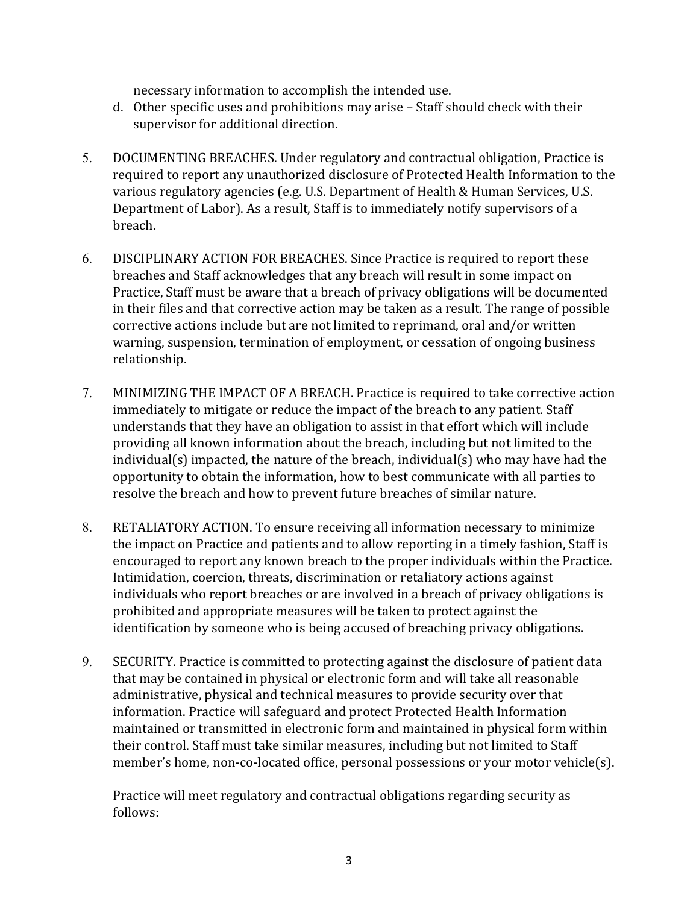necessary information to accomplish the intended use.

- d. Other specific uses and prohibitions may arise Staff should check with their supervisor for additional direction.
- 5. DOCUMENTING BREACHES. Under regulatory and contractual obligation, Practice is required to report any unauthorized disclosure of Protected Health Information to the various regulatory agencies (e.g. U.S. Department of Health & Human Services, U.S. Department of Labor). As a result, Staff is to immediately notify supervisors of a breach.
- 6. DISCIPLINARY ACTION FOR BREACHES. Since Practice is required to report these breaches and Staff acknowledges that any breach will result in some impact on Practice, Staff must be aware that a breach of privacy obligations will be documented in their files and that corrective action may be taken as a result. The range of possible corrective actions include but are not limited to reprimand, oral and/or written warning, suspension, termination of employment, or cessation of ongoing business relationship.
- 7. MINIMIZING THE IMPACT OF A BREACH. Practice is required to take corrective action immediately to mitigate or reduce the impact of the breach to any patient. Staff understands that they have an obligation to assist in that effort which will include providing all known information about the breach, including but not limited to the individual(s) impacted, the nature of the breach, individual(s) who may have had the opportunity to obtain the information, how to best communicate with all parties to resolve the breach and how to prevent future breaches of similar nature.
- 8. RETALIATORY ACTION. To ensure receiving all information necessary to minimize the impact on Practice and patients and to allow reporting in a timely fashion, Staff is encouraged to report any known breach to the proper individuals within the Practice. Intimidation, coercion, threats, discrimination or retaliatory actions against individuals who report breaches or are involved in a breach of privacy obligations is prohibited and appropriate measures will be taken to protect against the identification by someone who is being accused of breaching privacy obligations.
- 9. SECURITY. Practice is committed to protecting against the disclosure of patient data that may be contained in physical or electronic form and will take all reasonable administrative, physical and technical measures to provide security over that information. Practice will safeguard and protect Protected Health Information maintained or transmitted in electronic form and maintained in physical form within their control. Staff must take similar measures, including but not limited to Staff member's home, non-co-located office, personal possessions or your motor vehicle(s).

Practice will meet regulatory and contractual obligations regarding security as follows: